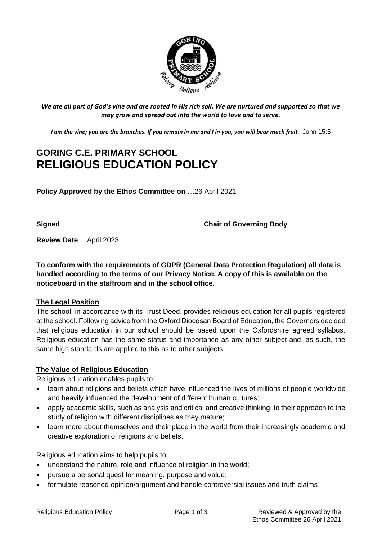

*We are all part of God's vine and are rooted in His rich soil. We are nurtured and supported so that we may grow and spread out into the world to love and to serve.*

*I am the vine; you are the branches. If you remain in me and I in you, you will bear much fruit.* John 15:5

# **GORING C.E. PRIMARY SCHOOL RELIGIOUS EDUCATION POLICY**

**Policy Approved by the Ethos Committee on** …26 April 2021

**Signed** ………………………………………………….. **Chair of Governing Body**

**Review Date** …April 2023

**To conform with the requirements of GDPR (General Data Protection Regulation) all data is handled according to the terms of our Privacy Notice. A copy of this is available on the noticeboard in the staffroom and in the school office.**

### **The Legal Position**

The school, in accordance with its Trust Deed, provides religious education for all pupils registered at the school. Following advice from the Oxford Diocesan Board of Education, the Governors decided that religious education in our school should be based upon the Oxfordshire agreed syllabus. Religious education has the same status and importance as any other subject and, as such, the same high standards are applied to this as to other subjects.

### **The Value of Religious Education**

Religious education enables pupils to:

- learn about religions and beliefs which have influenced the lives of millions of people worldwide and heavily influenced the development of different human cultures;
- apply academic skills, such as analysis and critical and creative thinking, to their approach to the study of religion with different disciplines as they mature;
- learn more about themselves and their place in the world from their increasingly academic and creative exploration of religions and beliefs.

Religious education aims to help pupils to:

- understand the nature, role and influence of religion in the world;
- pursue a personal quest for meaning, purpose and value;
- formulate reasoned opinion/argument and handle controversial issues and truth claims;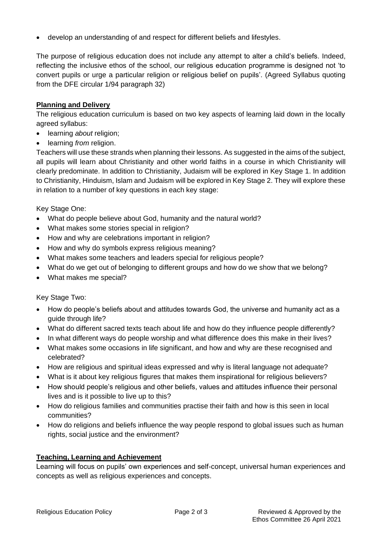• develop an understanding of and respect for different beliefs and lifestyles.

The purpose of religious education does not include any attempt to alter a child's beliefs. Indeed, reflecting the inclusive ethos of the school, our religious education programme is designed not 'to convert pupils or urge a particular religion or religious belief on pupils'. (Agreed Syllabus quoting from the DFE circular 1/94 paragraph 32)

### **Planning and Delivery**

The religious education curriculum is based on two key aspects of learning laid down in the locally agreed syllabus:

- learning *about* religion;
- learning *from* religion.

Teachers will use these strands when planning their lessons. As suggested in the aims of the subject, all pupils will learn about Christianity and other world faiths in a course in which Christianity will clearly predominate. In addition to Christianity, Judaism will be explored in Key Stage 1. In addition to Christianity, Hinduism, Islam and Judaism will be explored in Key Stage 2. They will explore these in relation to a number of key questions in each key stage:

Key Stage One:

- What do people believe about God, humanity and the natural world?
- What makes some stories special in religion?
- How and why are celebrations important in religion?
- How and why do symbols express religious meaning?
- What makes some teachers and leaders special for religious people?
- What do we get out of belonging to different groups and how do we show that we belong?
- What makes me special?

Key Stage Two:

- How do people's beliefs about and attitudes towards God, the universe and humanity act as a guide through life?
- What do different sacred texts teach about life and how do they influence people differently?
- In what different ways do people worship and what difference does this make in their lives?
- What makes some occasions in life significant, and how and why are these recognised and celebrated?
- How are religious and spiritual ideas expressed and why is literal language not adequate?
- What is it about key religious figures that makes them inspirational for religious believers?
- How should people's religious and other beliefs, values and attitudes influence their personal lives and is it possible to live up to this?
- How do religious families and communities practise their faith and how is this seen in local communities?
- How do religions and beliefs influence the way people respond to global issues such as human rights, social justice and the environment?

### **Teaching, Learning and Achievement**

Learning will focus on pupils' own experiences and self-concept, universal human experiences and concepts as well as religious experiences and concepts.